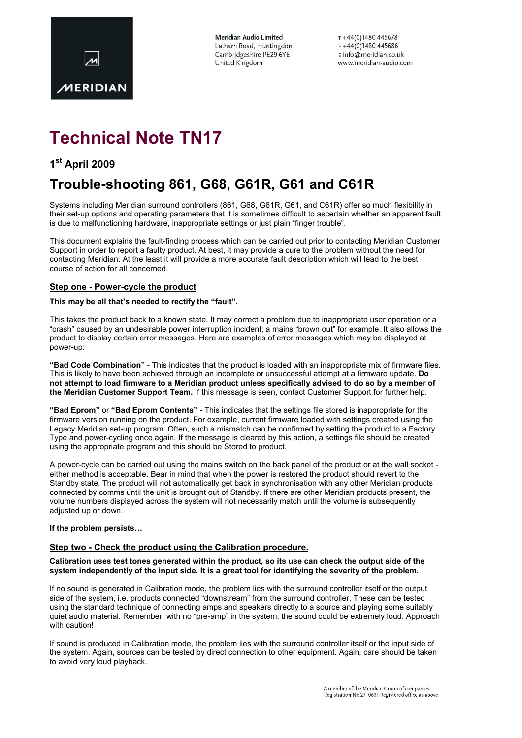

Meridian Audio Limited Latham Road, Huntingdon Cambridgeshire PE29 6YE United Kingdom

 $T + 44(0)1480445678$  $F + 44(0)1480445686$ E info@meridian.co.uk www.meridian-audio.com

# Technical Note TN17

### 1<sup>st</sup> April 2009

## Trouble-shooting 861, G68, G61R, G61 and C61R

Systems including Meridian surround controllers (861, G68, G61R, G61, and C61R) offer so much flexibility in their set-up options and operating parameters that it is sometimes difficult to ascertain whether an apparent fault is due to malfunctioning hardware, inappropriate settings or just plain "finger trouble".

This document explains the fault-finding process which can be carried out prior to contacting Meridian Customer Support in order to report a faulty product. At best, it may provide a cure to the problem without the need for contacting Meridian. At the least it will provide a more accurate fault description which will lead to the best course of action for all concerned.

#### Step one - Power-cycle the product

#### This may be all that's needed to rectify the "fault".

This takes the product back to a known state. It may correct a problem due to inappropriate user operation or a "crash" caused by an undesirable power interruption incident; a mains "brown out" for example. It also allows the product to display certain error messages. Here are examples of error messages which may be displayed at power-up:

"Bad Code Combination" - This indicates that the product is loaded with an inappropriate mix of firmware files. This is likely to have been achieved through an incomplete or unsuccessful attempt at a firmware update. Do not attempt to load firmware to a Meridian product unless specifically advised to do so by a member of the Meridian Customer Support Team. If this message is seen, contact Customer Support for further help.

"Bad Eprom" or "Bad Eprom Contents" - This indicates that the settings file stored is inappropriate for the firmware version running on the product. For example, current firmware loaded with settings created using the Legacy Meridian set-up program. Often, such a mismatch can be confirmed by setting the product to a Factory Type and power-cycling once again. If the message is cleared by this action, a settings file should be created using the appropriate program and this should be Stored to product.

A power-cycle can be carried out using the mains switch on the back panel of the product or at the wall socket either method is acceptable. Bear in mind that when the power is restored the product should revert to the Standby state. The product will not automatically get back in synchronisation with any other Meridian products connected by comms until the unit is brought out of Standby. If there are other Meridian products present, the volume numbers displayed across the system will not necessarily match until the volume is subsequently adjusted up or down.

#### If the problem persists…

#### Step two - Check the product using the Calibration procedure.

#### Calibration uses test tones generated within the product, so its use can check the output side of the system independently of the input side. It is a great tool for identifying the severity of the problem.

If no sound is generated in Calibration mode, the problem lies with the surround controller itself or the output side of the system, i.e. products connected "downstream" from the surround controller. These can be tested using the standard technique of connecting amps and speakers directly to a source and playing some suitably quiet audio material. Remember, with no "pre-amp" in the system, the sound could be extremely loud. Approach with caution!

If sound is produced in Calibration mode, the problem lies with the surround controller itself or the input side of the system. Again, sources can be tested by direct connection to other equipment. Again, care should be taken to avoid very loud playback.